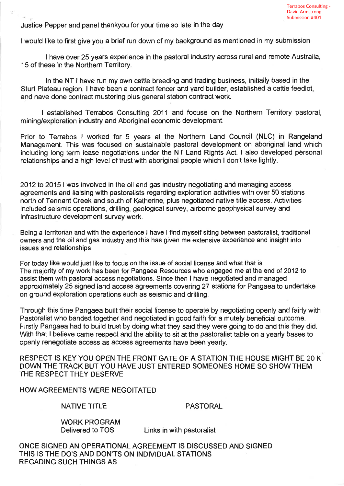Justice Pepper and panel thankyou for your time so late in the day

I would like to first give you a brief run down of my background as mentioned in my submission

I have over 25 years experience in the pastoral industry across rural and remote Australia, 15 of these in the Northern Territory.

ln the NT I have run my own cattle breeding and trading business, initially based in the Sturt Plateau region. I have been a contract fencer and yard builder, established a cattle feedlot, and have done contract mustering plus general station contract work.

I established Terrabos Consulting 2011 and focuse on the Northern Territory pastoral, mining/exploration industry and Aboriginal economic development.

Prior to Terrabos I worked for 5 years at the Northern Land Council (NLC) in Rangeland Management. This was focused on sustainable pastoral development on aboriginal land which including long term lease negotiations under the NT Land Rights Act. I also developed pèrsonal relationships and a high level of trust with aboriginal people which I don't take lightly.

2012 to 2015 | was involved in the oil and gas industry negotiating and managing access agreements and liaising with pastoralists regarding exploration activities with over 50 stations north of Tennant Creek and south of Katherine, plus negotiated native title access. Activities included seismic operations, drillíng, geological survey, airborne geophysical survey and lnfrastructure development survey work.

Being a territorian and with the experience I have I find myself siting between pastoralist, traditional owners and the oil and gas industry and this has given me extensive experiènce and insight into issues and relationships

For today like would just like to focus on the issue of social license and what that is The majority of my work has been for Pangaea Resources who engaged me at the end of 2012 to assist them with pastoral access negotiations. Since then I have negotiated and managed approximately 25 signed land access agreements covering 27 stations for Pangaea to undertake on ground exploration operations such as seismic and drilling.

Through this time Pangaea built their social license to operate by negotiating openly and fairly with Pastoralist who banded together and negotiated in good faith for a mutely beneficial outcome. Firstly Pangaea had to build trust by doing what they said they were going to do and this they did. With that I believe came respect and the ability to sit at the pastoralist table on a yearly bases to openly renegotiate access as access agreements have been yearly.

RESPECT IS KEY YOU OPEN THE FRONT GATE OF A STATION THE HOUSE MIGHT BE 20 K DOWN THE TRACK BUT YOU HAVE JUST ENTERED SOMEONES HOME SO SHOWTHEM THE RESPECT THEY DESERVE

HOW AGREEMENTS WERE NEGOITATED

NATIVE TITLE PASTORAL

WORK PRQGRAM

Delivered to TOS Links in with pastoralist

ONCE SIGNED AN OPERATIONAL AGREEMENT IS DISCUSSED AND SIGNED THIS IS THE DO'S AND DON'TS ON INDIVIDUAL STATIONS REGADING SUCH THINGS AS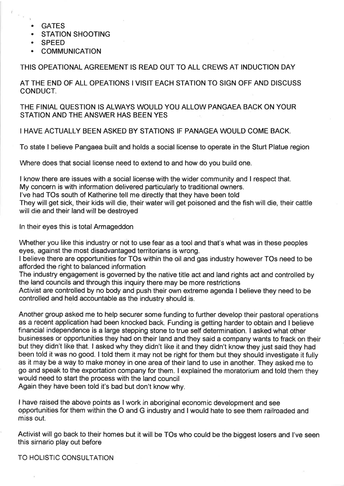- . GATES
- . STATION SHOOTING
- . SPEED
- **COMMUNICATION**

## THIS OPEATIONAL AGREEMENT IS READ OUT TO ALL CREWS AT INDUCTION DAY

AT THE END OF ALL OPEATIONS I VISIT EACH STATION TO SIGN OFF AND DISCUSS CONDUCT.

THE FINIAL QUESTION IS ALWAYS WOULD YOU ALLOW PANGAEA BACK ON YOUR STATION AND THE ANSWER HAS BEEN YES

## I HAVE ACTUALLY BEEN ASKED BY STATIONS IF PANAGEA WOULD COME BACK.

To state I believe Pangaea built and holds a social license to operate in the Sturt Platue region

Where does that social license need to extend to and how do you build one.

I know there are issues with a social license wíth the wider community and I respect that.

My concern is with information delivered particularly to traditional owners.

l've had TOs south of Katherine tell me dírectly that they have been told

They will get sick, their kids will die, their water will get poisoned and the fish will die, their cattle will die and their land will be destroyed

In their eyes this is total Armageddon

Whether you like this industry or not to use fear as a tool and that's what was in these peoples eyes, against the most disadvantaged territorians is wrong.

I believe there are opportunities for TOs within the oil and gas industry however TOs need to be afforded the right to balanced information

The industry engagement is governed by the native title act and land rights act and controlled by the land councils and through this inquiry there may be more restrictions

Activíst are controlled by no body and push their own extreme agenda I believe they need to be controlled and held accountable as the industry should is.

Another group asked me to help securer some funding to further develop their pastoral operations as a recent application had been knocked back. Funding is getting harder to obtain and I believe financial independence is a large stepping stone to true self determination. I asked what other businesses or opportunities they had on their land and they said a company wants to frack on their but they didn't like that. I asked why they didn't like it and they didn't know they just said they had been told it was no good. I told them it may not be right for them but they should investigate it fully as it may be a way to make money in one area of their land to use in another. They asked me to go and speak to the exportation company for them. I explained the moratorium and told them they would need to start the process with the land council

Again they have been told it's bad but don't know why.

I have raised the above points as I work in aboriginal economic development and see opportunities for them within the O and G industry and I would hate to see them railroaded and miss out.

Activist will go back to their homes but it will be TOs who could be the biggest losers and I've seen this sirnario play out before

TO HOLISTIC CONSULTATION